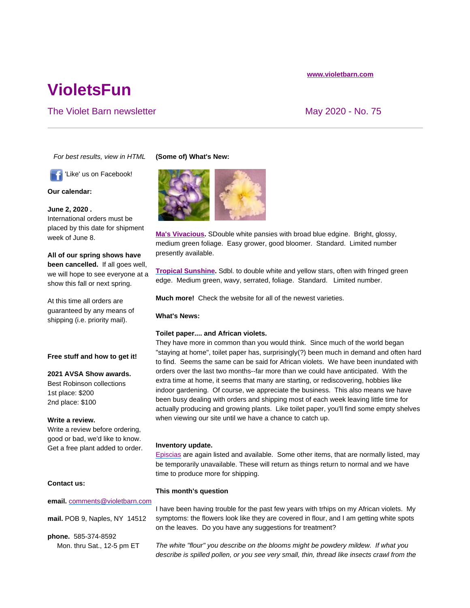# **www.violetbarn.com**

# **VioletsFun**

# The Violet Barn newsletter May 2020 - No. 75

*For best results, view in HTML*

'Like' us on Facebook!

**Our calendar:**

**June 2, 2020 .**  International orders must be placed by this date for shipment week of June 8.

**All of our spring shows have been cancelled.** If all goes well, we will hope to see everyone at a show this fall or next spring.

At this time all orders are guaranteed by any means of shipping (i.e. priority mail).

#### **Free stuff and how to get it!**

# **2021 AVSA Show awards.**

Best Robinson collections 1st place: \$200 2nd place: \$100

**Write a review.**

Write a review before ordering, good or bad, we'd like to know. Get a free plant added to order.

# **Contact us:**

# **email.** comments@violetbarn.com

**mail.** POB 9, Naples, NY 14512

**phone.** 585-374-8592 Mon. thru Sat., 12-5 pm ET

# **(Some of) What's New:**



**Ma's Vivacious.** SDouble white pansies with broad blue edgine. Bright, glossy, medium green foliage. Easy grower, good bloomer. Standard. Limited number presently available.

**Tropical Sunshine.** Sdbl. to double white and yellow stars, often with fringed green edge. Medium green, wavy, serrated, foliage. Standard. Limited number.

**Much more!** Check the website for all of the newest varieties.

# **What's News:**

#### **Toilet paper.... and African violets.**

They have more in common than you would think. Since much of the world began "staying at home", toilet paper has, surprisingly(?) been much in demand and often hard to find. Seems the same can be said for African violets. We have been inundated with orders over the last two months--far more than we could have anticipated. With the extra time at home, it seems that many are starting, or rediscovering, hobbies like indoor gardening. Of course, we appreciate the business. This also means we have been busy dealing with orders and shipping most of each week leaving little time for actually producing and growing plants. Like toilet paper, you'll find some empty shelves when viewing our site until we have a chance to catch up.

#### **Inventory update.**

Episcias are again listed and available. Some other items, that are normally listed, may be temporarily unavailable. These will return as things return to normal and we have time to produce more for shipping.

#### **This month's question**

I have been having trouble for the past few years with trhips on my African violets. My symptoms: the flowers look like they are covered in flour, and I am getting white spots on the leaves. Do you have any suggestions for treatment?

*The white "flour" you describe on the blooms might be powdery mildew. If what you describe is spilled pollen, or you see very small, thin, thread like insects crawl from the*